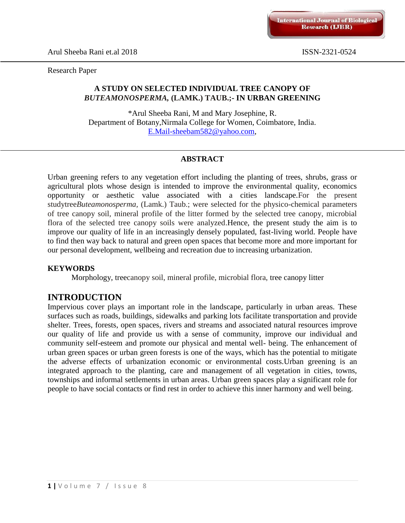Research Paper

# **A STUDY ON SELECTED INDIVIDUAL TREE CANOPY OF** *BUTEAMONOSPERMA,* **(LAMK.) TAUB.;- IN URBAN GREENING**

\*Arul Sheeba Rani, M and Mary Josephine, R. Department of Botany,Nirmala College for Women, Coimbatore, India. [E.Mail-sheebam582@yahoo.com,](mailto:E.Mail-sheebam582@yahoo.com)

# **ABSTRACT**

Urban greening refers to any vegetation effort including the planting of trees, shrubs, grass or agricultural plots whose design is intended to improve the environmental quality, economics opportunity or aesthetic value associated with a cities landscape.For the present studytree*Buteamonosperma,* (Lamk.) Taub.; were selected for the physico-chemical parameters of tree canopy soil, mineral profile of the litter formed by the selected tree canopy, microbial flora of the selected tree canopy soils were analyzed.Hence, the present study the aim is to improve our quality of life in an increasingly densely populated, fast-living world. People have to find then way back to natural and green open spaces that become more and more important for our personal development, wellbeing and recreation due to increasing urbanization.

#### **KEYWORDS**

Morphology, treecanopy soil, mineral profile, microbial flora, tree canopy litter

# **INTRODUCTION**

Impervious cover plays an important role in the landscape, particularly in urban areas. These surfaces such as roads, buildings, sidewalks and parking lots facilitate transportation and provide shelter. Trees, forests, open spaces, rivers and streams and associated natural resources improve our quality of life and provide us with a sense of community, improve our individual and community self-esteem and promote our physical and mental well- being. The enhancement of urban green spaces or urban green forests is one of the ways, which has the potential to mitigate the adverse effects of urbanization economic or environmental costs.Urban greening is an integrated approach to the planting, care and management of all vegetation in cities, towns, townships and informal settlements in urban areas. Urban green spaces play a significant role for people to have social contacts or find rest in order to achieve this inner harmony and well being.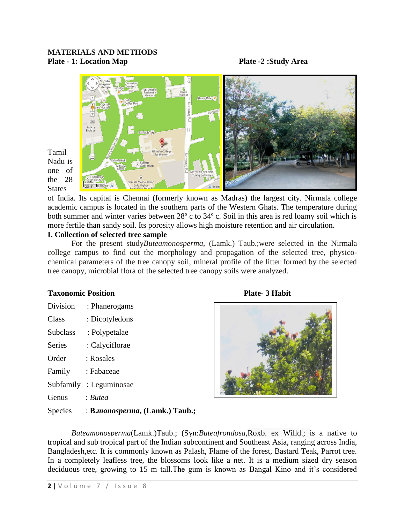#### **MATERIALS AND METHODS Plate - 1: Location Map Plate -2 :Study Area**



Tamil Nadu is one of the 28 **States** 

of India. Its capital is Chennai (formerly known as Madras) the largest city. Nirmala college academic campus is located in the southern parts of the Western Ghats. The temperature during both summer and winter varies between 28º c to 34º c. Soil in this area is red loamy soil which is more fertile than sandy soil. Its porosity allows high moisture retention and air circulation.

#### **I. Collection of selected tree sample**

For the present study*Buteamonosperma,* (Lamk.) Taub.;were selected in the Nirmala college campus to find out the morphology and propagation of the selected tree, physicochemical parameters of the tree canopy soil, mineral profile of the litter formed by the selected tree canopy, microbial flora of the selected tree canopy soils were analyzed.

#### **Taxonomic Position Plate- 3 Habit**

| Division        | : Phanerogams  |
|-----------------|----------------|
| Class           | : Dicotyledons |
| <b>Subclass</b> | : Polypetalae  |
| <b>Series</b>   | : Calyciflorae |
| Order           | : Rosales      |
| Family          | : Fabaceae     |
| Subfamily       | : Leguminosae  |
| Genus           | : Butea        |
|                 |                |



Species : **B.***monosperma***, (Lamk.) Taub.;**

*Buteamonosperma*(Lamk.)Taub.; (Syn:*Buteafrondosa,*Roxb. ex Willd.; is a native to tropical and sub tropical part of the Indian subcontinent and Southeast Asia, ranging across India, Bangladesh,etc. It is commonly known as Palash, Flame of the forest, Bastard Teak, Parrot tree. In a completely leafless tree, the blossoms look like a net. It is a medium sized dry season deciduous tree, growing to 15 m tall.The gum is known as Bangal Kino and it's considered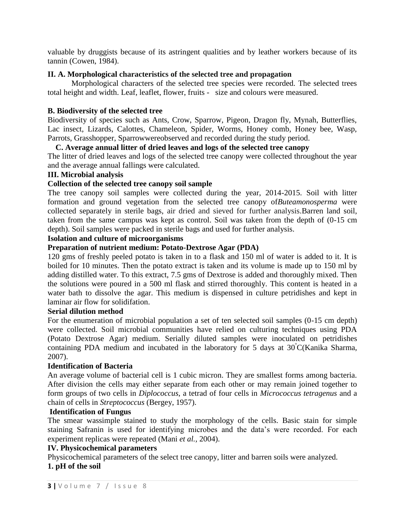valuable by druggists because of its astringent qualities and by leather workers because of its tannin (Cowen, 1984).

#### **II. A. Morphological characteristics of the selected tree and propagation**

Morphological characters of the selected tree species were recorded. The selected trees total height and width. Leaf, leaflet, flower, fruits - size and colours were measured.

#### **B. Biodiversity of the selected tree**

Biodiversity of species such as Ants, Crow, Sparrow, Pigeon, Dragon fly, Mynah, Butterflies, Lac insect, Lizards, Calottes, Chameleon, Spider, Worms, Honey comb, Honey bee, Wasp, Parrots, Grasshopper, Sparrowwereobserved and recorded during the study period.

#### **C. Average annual litter of dried leaves and logs of the selected tree canopy**

The litter of dried leaves and logs of the selected tree canopy were collected throughout the year and the average annual fallings were calculated.

# **III. Microbial analysis**

## **Collection of the selected tree canopy soil sample**

The tree canopy soil samples were collected during the year, 2014-2015. Soil with litter formation and ground vegetation from the selected tree canopy of*Buteamonosperma* were collected separately in sterile bags, air dried and sieved for further analysis.Barren land soil, taken from the same campus was kept as control. Soil was taken from the depth of (0-15 cm depth). Soil samples were packed in sterile bags and used for further analysis.

#### **Isolation and culture of microorganisms**

## **Preparation of nutrient medium: Potato-Dextrose Agar (PDA)**

120 gms of freshly peeled potato is taken in to a flask and 150 ml of water is added to it. It is boiled for 10 minutes. Then the potato extract is taken and its volume is made up to 150 ml by adding distilled water. To this extract, 7.5 gms of Dextrose is added and thoroughly mixed. Then the solutions were poured in a 500 ml flask and stirred thoroughly. This content is heated in a water bath to dissolve the agar. This medium is dispensed in culture petridishes and kept in laminar air flow for solidifation.

#### **Serial dilution method**

For the enumeration of microbial population a set of ten selected soil samples (0-15 cm depth) were collected. Soil microbial communities have relied on culturing techniques using PDA (Potato Dextrose Agar) medium. Serially diluted samples were inoculated on petridishes containing PDA medium and incubated in the laboratory for 5 days at  $30^{\circ}$ C(Kanika Sharma, 2007).

#### **Identification of Bacteria**

An average volume of bacterial cell is 1 cubic micron. They are smallest forms among bacteria. After division the cells may either separate from each other or may remain joined together to form groups of two cells in *Diplococcus*, a tetrad of four cells in *Micrococcus tetragenus* and a chain of cells in *Streptococcus* (Bergey, 1957).

## **Identification of Fungus**

The smear wassimple stained to study the morphology of the cells. Basic stain for simple staining Safranin is used for identifying microbes and the data's were recorded. For each experiment replicas were repeated (Mani *et al.,* 2004).

#### **IV. Physicochemical parameters**

Physicochemical parameters of the select tree canopy, litter and barren soils were analyzed.

#### **1. pH of the soil**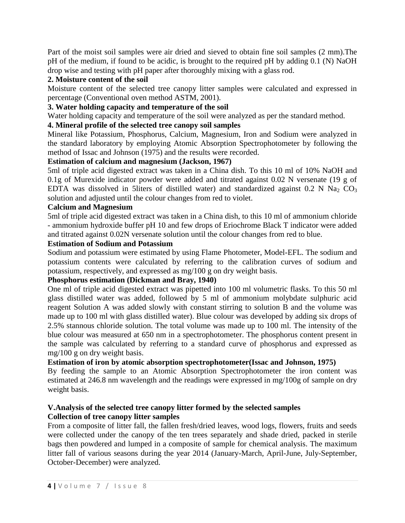Part of the moist soil samples were air dried and sieved to obtain fine soil samples (2 mm).The pH of the medium, if found to be acidic, is brought to the required pH by adding 0.1 (N) NaOH drop wise and testing with pH paper after thoroughly mixing with a glass rod.

# **2. Moisture content of the soil**

Moisture content of the selected tree canopy litter samples were calculated and expressed in percentage (Conventional oven method ASTM, 2001).

# **3. Water holding capacity and temperature of the soil**

Water holding capacity and temperature of the soil were analyzed as per the standard method.

# **4. Mineral profile of the selected tree canopy soil samples**

Mineral like Potassium, Phosphorus, Calcium, Magnesium, Iron and Sodium were analyzed in the standard laboratory by employing Atomic Absorption Spectrophotometer by following the method of Issac and Johnson (1975) and the results were recorded.

# **Estimation of calcium and magnesium (Jackson, 1967)**

5ml of triple acid digested extract was taken in a China dish. To this 10 ml of 10% NaOH and 0.1g of Murexide indicator powder were added and titrated against 0.02 N versenate (19 g of EDTA was dissolved in 5liters of distilled water) and standardized against  $0.2$  N Na<sub>2</sub> CO<sub>3</sub> solution and adjusted until the colour changes from red to violet.

## **Calcium and Magnesium**

5ml of triple acid digested extract was taken in a China dish, to this 10 ml of ammonium chloride - ammonium hydroxide buffer pH 10 and few drops of Eriochrome Black T indicator were added and titrated against 0.02N versenate solution until the colour changes from red to blue.

## **Estimation of Sodium and Potassium**

Sodium and potassium were estimated by using Flame Photometer, Model-EFL. The sodium and potassium contents were calculated by referring to the calibration curves of sodium and potassium, respectively, and expressed as mg/100 g on dry weight basis.

# **Phosphorus estimation (Dickman and Bray, 1940)**

One ml of triple acid digested extract was pipetted into 100 ml volumetric flasks. To this 50 ml glass distilled water was added, followed by 5 ml of ammonium molybdate sulphuric acid reagent Solution A was added slowly with constant stirring to solution B and the volume was made up to 100 ml with glass distilled water). Blue colour was developed by adding six drops of 2.5% stannous chloride solution. The total volume was made up to 100 ml. The intensity of the blue colour was measured at 650 nm in a spectrophotometer. The phosphorus content present in the sample was calculated by referring to a standard curve of phosphorus and expressed as mg/100 g on dry weight basis.

# **Estimation of iron by atomic absorption spectrophotometer(Issac and Johnson, 1975)**

By feeding the sample to an Atomic Absorption Spectrophotometer the iron content was estimated at 246.8 nm wavelength and the readings were expressed in mg/100g of sample on dry weight basis.

## **V.Analysis of the selected tree canopy litter formed by the selected samples Collection of tree canopy litter samples**

From a composite of litter fall, the fallen fresh/dried leaves, wood logs, flowers, fruits and seeds were collected under the canopy of the ten trees separately and shade dried, packed in sterile bags then powdered and lumped in a composite of sample for chemical analysis. The maximum litter fall of various seasons during the year 2014 (January-March, April-June, July-September, October-December) were analyzed.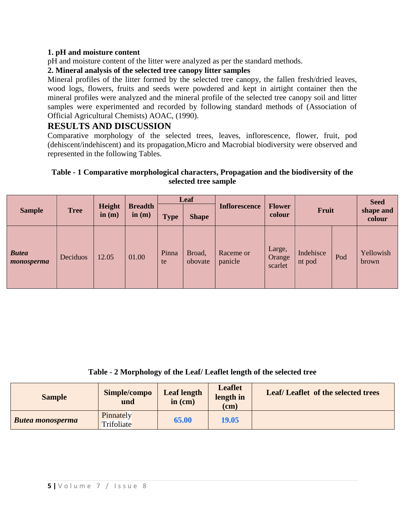## **1. pH and moisture content**

pH and moisture content of the litter were analyzed as per the standard methods.

# **2. Mineral analysis of the selected tree canopy litter samples**

Mineral profiles of the litter formed by the selected tree canopy, the fallen fresh/dried leaves, wood logs, flowers, fruits and seeds were powdered and kept in airtight container then the mineral profiles were analyzed and the mineral profile of the selected tree canopy soil and litter samples were experimented and recorded by following standard methods of (Association of Official Agricultural Chemists) AOAC, (1990).

# **RESULTS AND DISCUSSION**

Comparative morphology of the selected trees, leaves, inflorescence, flower, fruit, pod (dehiscent/indehiscent) and its propagation,Micro and Macrobial biodiversity were observed and represented in the following Tables.

#### **Table - 1 Comparative morphological characters, Propagation and the biodiversity of the selected tree sample**

|                            |             |                    |          | Leaf                                                                  |                   |                      |                             |                     |     | <b>Seed</b>         |  |
|----------------------------|-------------|--------------------|----------|-----------------------------------------------------------------------|-------------------|----------------------|-----------------------------|---------------------|-----|---------------------|--|
| <b>Sample</b>              | <b>Tree</b> | Height<br>in $(m)$ | in $(m)$ | <b>Breadth</b><br><b>Inflorescence</b><br><b>Type</b><br><b>Shape</b> | Fruit<br>colour   |                      | <b>Flower</b>               |                     |     | shape and<br>colour |  |
| <b>Butea</b><br>monosperma | Deciduos    | 12.05              | 01.00    | Pinna<br>te                                                           | Broad,<br>obovate | Raceme or<br>panicle | Large,<br>Orange<br>scarlet | Indehisce<br>nt pod | Pod | Yellowish<br>brown  |  |

**Table - 2 Morphology of the Leaf/ Leaflet length of the selected tree**

| <b>Sample</b>           | Simple/compo<br>und     | <b>Leaf length</b><br>in (cm) | <b>Leaflet</b><br>length in<br>$\rm (cm)$ | Leaf/Leaflet of the selected trees |
|-------------------------|-------------------------|-------------------------------|-------------------------------------------|------------------------------------|
| <b>Butea monosperma</b> | Pinnately<br>Trifoliate | 65.00                         | 19.05                                     |                                    |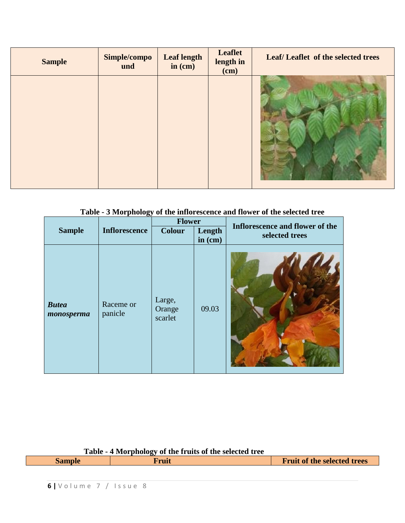| <b>Sample</b> | Simple/compo<br>und | <b>Leaf length</b><br>in $(cm)$ | <b>Leaflet</b><br>length in<br>(cm) | Leaf/Leaflet of the selected trees |
|---------------|---------------------|---------------------------------|-------------------------------------|------------------------------------|
|               |                     |                                 |                                     |                                    |

# **Table - 3 Morphology of the inflorescence and flower of the selected tree**

|                            |                      | <b>Flower</b>               |                     | Inflorescence and flower of the |  |
|----------------------------|----------------------|-----------------------------|---------------------|---------------------------------|--|
| <b>Sample</b>              | <b>Inflorescence</b> | <b>Colour</b>               | Length<br>in $(cm)$ | selected trees                  |  |
| <b>Butea</b><br>monosperma | Raceme or<br>panicle | Large,<br>Orange<br>scarlet | 09.03               |                                 |  |

| Table - 4 Morphology of the fruits of the selected tree |       |                                    |
|---------------------------------------------------------|-------|------------------------------------|
| <b>Sample</b>                                           | Truit | <b>Fruit of the selected trees</b> |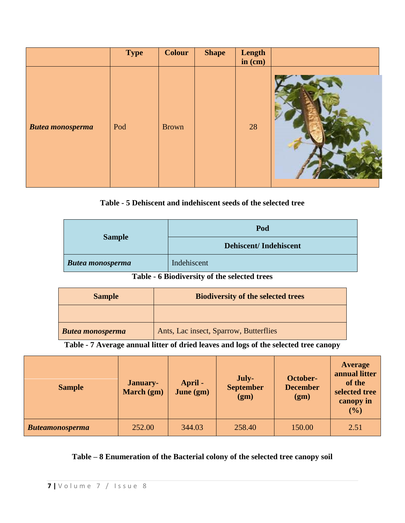|                         | <b>Type</b> | <b>Colour</b> | <b>Shape</b> | Length<br>in $(cm)$ |  |
|-------------------------|-------------|---------------|--------------|---------------------|--|
| <b>Butea monosperma</b> | Pod         | <b>Brown</b>  |              | 28                  |  |

# **Table - 5 Dehiscent and indehiscent seeds of the selected tree**

|                         | Pod                          |
|-------------------------|------------------------------|
| <b>Sample</b>           | <b>Dehiscent/Indehiscent</b> |
| <b>Butea monosperma</b> | Indehiscent                  |

# **Table - 6 Biodiversity of the selected trees**

| <b>Sample</b>           | <b>Biodiversity of the selected trees</b> |
|-------------------------|-------------------------------------------|
|                         |                                           |
| <b>Butea monosperma</b> | Ants, Lac insect, Sparrow, Butterflies    |

**Table - 7 Average annual litter of dried leaves and logs of the selected tree canopy**

| <b>Sample</b>          | <b>January-</b><br>March (gm) | April -<br>June (gm) | July-<br><b>September</b><br>(gm) | October-<br><b>December</b><br>(gm) | <b>Average</b><br>annual litter<br>of the<br>selected tree<br>canopy in<br>(%) |
|------------------------|-------------------------------|----------------------|-----------------------------------|-------------------------------------|--------------------------------------------------------------------------------|
| <b>Buteamonosperma</b> | 252.00                        | 344.03               | 258.40                            | 150.00                              | 2.51                                                                           |

# **Table – 8 Enumeration of the Bacterial colony of the selected tree canopy soil**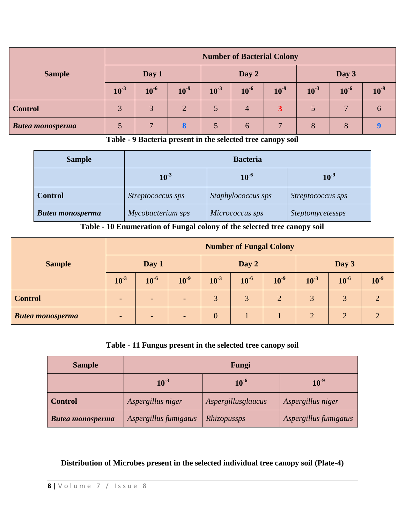|                         | <b>Number of Bacterial Colony</b> |           |                |           |                |           |           |                |               |
|-------------------------|-----------------------------------|-----------|----------------|-----------|----------------|-----------|-----------|----------------|---------------|
| <b>Sample</b>           | Day 1                             |           |                | Day 2     |                |           | Day 3     |                |               |
|                         | $10^{-3}$                         | $10^{-6}$ | $10^{-9}$      | $10^{-3}$ | $10^{-6}$      | $10^{-9}$ | $10^{-3}$ | $10^{-6}$      | $10^{-9}$     |
| <b>Control</b>          | 3                                 | 3         | $\overline{2}$ |           | $\overline{4}$ | 3         | 5         | $\overline{7}$ | $\mathfrak b$ |
| <b>Butea monosperma</b> |                                   |           | 8              |           | $\mathfrak b$  |           |           | 8              |               |

**Table - 9 Bacteria present in the selected tree canopy soil**

| <b>Sample</b>           | <b>Bacteria</b>   |                        |                   |  |  |  |  |  |
|-------------------------|-------------------|------------------------|-------------------|--|--|--|--|--|
|                         | $10^{-3}$         | $10^{-9}$<br>$10^{-6}$ |                   |  |  |  |  |  |
| <b>Control</b>          | Streptococcus sps | Staphylococcus sps     | Streptococcus sps |  |  |  |  |  |
| <b>Butea monosperma</b> | Mycobacterium sps | Micrococcus sps        | Steptomycetessps  |  |  |  |  |  |

**Table - 10 Enumeration of Fungal colony of the selected tree canopy soil**

|                         | <b>Number of Fungal Colony</b> |           |           |                |           |                |           |           |                 |
|-------------------------|--------------------------------|-----------|-----------|----------------|-----------|----------------|-----------|-----------|-----------------|
| <b>Sample</b>           | Day 1                          |           | Day 2     |                |           | Day 3          |           |           |                 |
|                         | $10^{-3}$                      | $10^{-6}$ | $10^{-9}$ | $10^{-3}$      | $10^{-6}$ | $10^{-9}$      | $10^{-3}$ | $10^{-6}$ | 10 <sup>9</sup> |
| <b>Control</b>          |                                |           |           | 3              | 3         | $\overline{2}$ | 3         |           |                 |
| <b>Butea monosperma</b> |                                |           |           | $\overline{0}$ |           |                |           |           |                 |

# **Table - 11 Fungus present in the selected tree canopy soil**

| <b>Sample</b>           | Fungi                 |                    |                       |  |  |
|-------------------------|-----------------------|--------------------|-----------------------|--|--|
|                         | $10^{-3}$             | $10^{-6}$          | $10^{-9}$             |  |  |
| <b>Control</b>          | Aspergillus niger     | Aspergillusglaucus | Aspergillus niger     |  |  |
| <b>Butea monosperma</b> | Aspergillus fumigatus | Rhizopussps        | Aspergillus fumigatus |  |  |

**Distribution of Microbes present in the selected individual tree canopy soil (Plate-4)**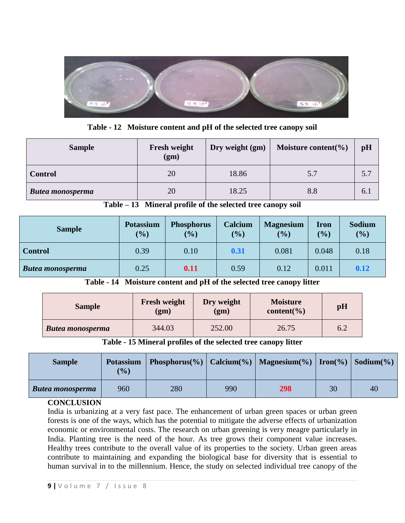

**Table - 12 Moisture content and pH of the selected tree canopy soil** 

| <b>Sample</b>           | Fresh weight<br>(gm) | Dry weight (gm) | Moisture content( $\%$ ) | pH  |
|-------------------------|----------------------|-----------------|--------------------------|-----|
| <b>Control</b>          | 20                   | 18.86           | 5.7                      | 5.7 |
| <b>Butea monosperma</b> | 20                   | 18.25           | 8.8                      | 6.1 |

|  |  |  |  | Table – 13 Mineral profile of the selected tree canopy soil |
|--|--|--|--|-------------------------------------------------------------|
|--|--|--|--|-------------------------------------------------------------|

| <b>Sample</b>           | <b>Potassium</b><br>(%) | <b>Phosphorus</b><br>(%) | Calcium<br>(%) | <b>Magnesium</b><br>(9/0) | <b>Iron</b><br>(9/0) | <b>Sodium</b><br>(%) |
|-------------------------|-------------------------|--------------------------|----------------|---------------------------|----------------------|----------------------|
| Control                 | 0.39                    | 0.10                     | 0.31           | 0.081                     | 0.048                | 0.18                 |
| <b>Butea monosperma</b> | 0.25                    | 0.11                     | 0.59           | 0.12                      | 0.011                | 0.12                 |

**Table - 14 Moisture content and pH of the selected tree canopy litter** 

| <b>Sample</b>           | <b>Fresh weight</b><br>(gm) |        | <b>Moisture</b><br>content( $\%$ ) | pH  |  |
|-------------------------|-----------------------------|--------|------------------------------------|-----|--|
| <b>Butea monosperma</b> | 344.03                      | 252.00 | 26.75                              | 6.2 |  |

**Table - 15 Mineral profiles of the selected tree canopy litter** 

| <b>Sample</b>           | <b>Potassium</b><br>$($ %) |     |     | Phosphorus(%)   Calcium(%)   Magnesium(%)   Iron(%)   Sodium(%) |    |    |
|-------------------------|----------------------------|-----|-----|-----------------------------------------------------------------|----|----|
| <b>Butea monosperma</b> | 960                        | 280 | 990 | 298                                                             | 30 | 40 |

## **CONCLUSION**

India is urbanizing at a very fast pace. The enhancement of urban green spaces or urban green forests is one of the ways, which has the potential to mitigate the adverse effects of urbanization economic or environmental costs. The research on urban greening is very meagre particularly in India. Planting tree is the need of the hour. As tree grows their component value increases. Healthy trees contribute to the overall value of its properties to the society. Urban green areas contribute to maintaining and expanding the biological base for diversity that is essential to human survival in to the millennium. Hence, the study on selected individual tree canopy of the